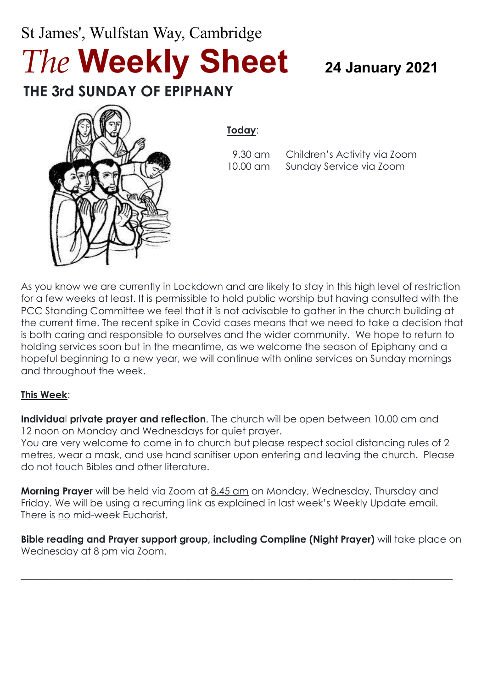# St James', Wulfstan Way, Cambridge *The* **Weekly Sheet <sup>24</sup> January 2021 THE 3rd SUNDAY OF EPIPHANY**



#### **Today**:

9.30 am Children's Activity via Zoom 10.00 am Sunday Service via Zoom

As you know we are currently in Lockdown and are likely to stay in this high level of restriction for a few weeks at least. It is permissible to hold public worship but having consulted with the PCC Standing Committee we feel that it is not advisable to gather in the church building at the current time. The recent spike in Covid cases means that we need to take a decision that is both caring and responsible to ourselves and the wider community. We hope to return to holding services soon but in the meantime, as we welcome the season of Epiphany and a hopeful beginning to a new year, we will continue with online services on Sunday mornings and throughout the week.

#### **This Week**:

**Individua**l **private prayer and reflection**. The church will be open between 10.00 am and 12 noon on Monday and Wednesdays for quiet prayer.

You are very welcome to come in to church but please respect social distancing rules of 2 metres, wear a mask, and use hand sanitiser upon entering and leaving the church. Please do not touch Bibles and other literature.

**Morning Prayer** will be held via Zoom at 8.45 am on Monday, Wednesday, Thursday and Friday. We will be using a recurring link as explained in last week's Weekly Update email. There is no mid-week Eucharist.

**Bible reading and Prayer support group, including Compline (Night Prayer)** will take place on Wednesday at 8 pm via Zoom.

 $\_$  , and the set of the set of the set of the set of the set of the set of the set of the set of the set of the set of the set of the set of the set of the set of the set of the set of the set of the set of the set of th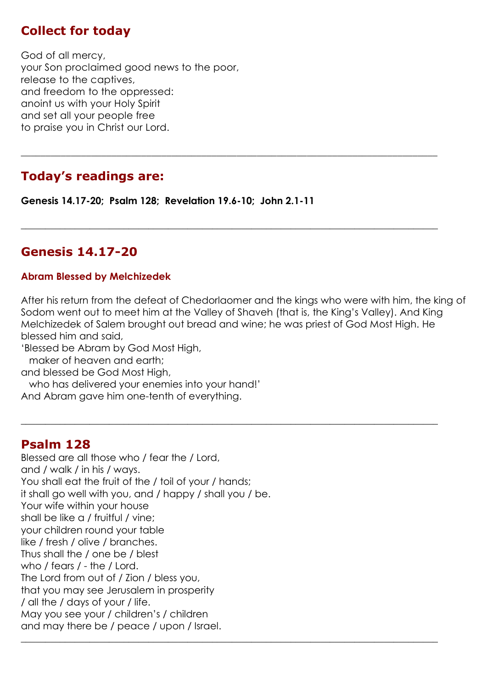#### **Collect for today**

God of all mercy, your Son proclaimed good news to the poor, release to the captives, and freedom to the oppressed: anoint us with your Holy Spirit and set all your people free to praise you in Christ our Lord.

# **Today's readings are:**

**Genesis 14.17-20; Psalm 128; Revelation 19.6-10; John 2.1-11**

#### **Genesis 14.17-20**

#### **Abram Blessed by Melchizedek**

After his return from the defeat of Chedorlaomer and the kings who were with him, the king of Sodom went out to meet him at the Valley of Shaveh (that is, the King's Valley). And King Melchizedek of Salem brought out bread and wine; he was priest of God Most High. He blessed him and said,

 $\_$  , and the set of the set of the set of the set of the set of the set of the set of the set of the set of the set of the set of the set of the set of the set of the set of the set of the set of the set of the set of th

\_\_\_\_\_\_\_\_\_\_\_\_\_\_\_\_\_\_\_\_\_\_\_\_\_\_\_\_\_\_\_\_\_\_\_\_\_\_\_\_\_\_\_\_\_\_\_\_\_\_\_\_\_\_\_\_\_\_\_\_\_\_\_\_\_\_\_\_\_\_\_\_\_\_\_\_\_\_\_\_\_\_\_

 $\_$  , and the set of the set of the set of the set of the set of the set of the set of the set of the set of the set of the set of the set of the set of the set of the set of the set of the set of the set of the set of th

'Blessed be Abram by God Most High,

maker of heaven and earth;

and blessed be God Most High,

who has delivered your enemies into your hand!'

And Abram gave him one-tenth of everything.

#### **Psalm 128**

Blessed are all those who / fear the / Lord, and / walk / in his / ways. You shall eat the fruit of the / toil of your / hands; it shall go well with you, and / happy / shall you / be. Your wife within your house shall be like a / fruitful / vine; your children round your table like / fresh / olive / branches. Thus shall the / one be / blest who / fears / - the / Lord. The Lord from out of / Zion / bless you, that you may see Jerusalem in prosperity / all the / days of your / life. May you see your / children's / children and may there be / peace / upon / Israel.  $\_$  , and the set of the set of the set of the set of the set of the set of the set of the set of the set of the set of the set of the set of the set of the set of the set of the set of the set of the set of the set of th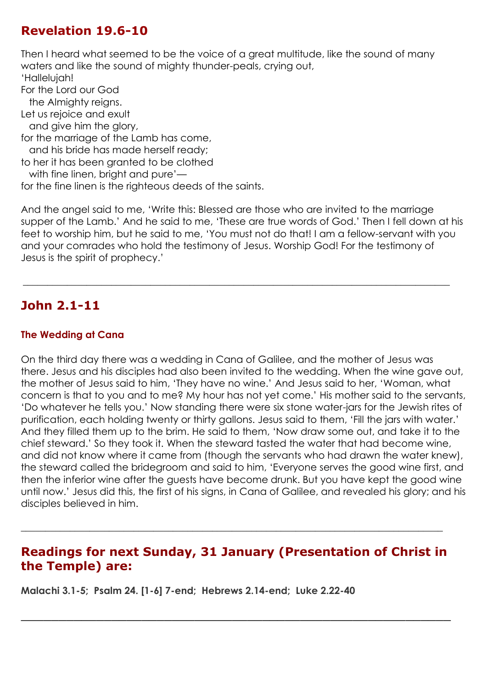## **Revelation 19.6-10**

Then I heard what seemed to be the voice of a great multitude, like the sound of many waters and like the sound of mighty thunder-peals, crying out, 'Hallelujah!

For the Lord our God the Almighty reigns. Let us rejoice and exult

and give him the glory,

for the marriage of the Lamb has come,

and his bride has made herself ready;

to her it has been granted to be clothed

with fine linen, bright and pure'—

for the fine linen is the righteous deeds of the saints.

And the angel said to me, 'Write this: Blessed are those who are invited to the marriage supper of the Lamb.' And he said to me, 'These are true words of God.' Then I fell down at his feet to worship him, but he said to me, 'You must not do that! I am a fellow-servant with you and your comrades who hold the testimony of Jesus. Worship God! For the testimony of Jesus is the spirit of prophecy.'

 $\_$  , and the set of the set of the set of the set of the set of the set of the set of the set of the set of the set of the set of the set of the set of the set of the set of the set of the set of the set of the set of th

### **John 2.1-11**

#### **The Wedding at Cana**

On the third day there was a wedding in Cana of Galilee, and the mother of Jesus was there. Jesus and his disciples had also been invited to the wedding. When the wine gave out, the mother of Jesus said to him, 'They have no wine.' And Jesus said to her, 'Woman, what concern is that to you and to me? My hour has not yet come.' His mother said to the servants, 'Do whatever he tells you.' Now standing there were six stone water-jars for the Jewish rites of purification, each holding twenty or thirty gallons. Jesus said to them, 'Fill the jars with water.' And they filled them up to the brim. He said to them, 'Now draw some out, and take it to the chief steward.' So they took it. When the steward tasted the water that had become wine, and did not know where it came from (though the servants who had drawn the water knew), the steward called the bridegroom and said to him, 'Everyone serves the good wine first, and then the inferior wine after the guests have become drunk. But you have kept the good wine until now.' Jesus did this, the first of his signs, in Cana of Galilee, and revealed his glory; and his disciples believed in him.

#### **Readings for next Sunday, 31 January (Presentation of Christ in the Temple) are:**

\_\_\_\_\_\_\_\_\_\_\_\_\_\_\_\_\_\_\_\_\_\_\_\_\_\_\_\_\_\_\_\_\_\_\_\_\_\_\_\_\_\_\_\_\_\_\_\_\_\_\_\_\_\_\_\_\_

**\_\_\_\_\_\_\_\_\_\_\_\_\_\_\_\_\_\_\_\_\_\_\_\_\_\_\_\_\_\_\_\_\_\_\_\_\_\_\_\_\_\_\_\_\_\_\_\_\_\_\_\_\_\_\_\_\_\_\_\_\_\_\_\_\_\_\_\_\_\_\_\_\_\_\_\_\_\_\_\_\_\_\_\_\_\_**

**Malachi 3.1-5; Psalm 24. [1-6] 7-end; Hebrews 2.14-end; Luke 2.22-40**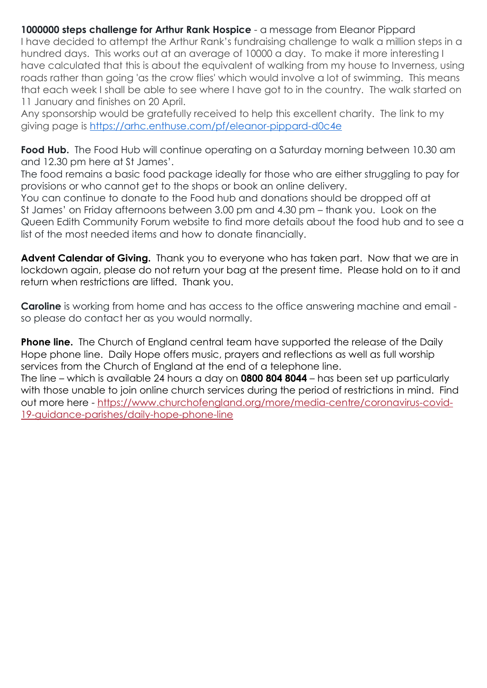**1000000 steps challenge for Arthur Rank Hospice** - a message from Eleanor Pippard

I have decided to attempt the Arthur Rank's fundraising challenge to walk a million steps in a hundred days. This works out at an average of 10000 a day. To make it more interesting I have calculated that this is about the equivalent of walking from my house to Inverness, using roads rather than going 'as the crow flies' which would involve a lot of swimming. This means that each week I shall be able to see where I have got to in the country. The walk started on 11 January and finishes on 20 April.

Any sponsorship would be gratefully received to help this excellent charity. The link to my giving page is <https://arhc.enthuse.com/pf/eleanor-pippard-d0c4e>

**Food Hub.** The Food Hub will continue operating on a Saturday morning between 10.30 am and 12.30 pm here at St James'.

The food remains a basic food package ideally for those who are either struggling to pay for provisions or who cannot get to the shops or book an online delivery.

You can continue to donate to the Food hub and donations should be dropped off at St James' on Friday afternoons between 3.00 pm and 4.30 pm – thank you. Look on the Queen Edith Community Forum website to find more details about the food hub and to see a list of the most needed items and how to donate financially.

**Advent Calendar of Giving.** Thank you to everyone who has taken part. Now that we are in lockdown again, please do not return your bag at the present time. Please hold on to it and return when restrictions are lifted. Thank you.

**Caroline** is working from home and has access to the office answering machine and email so please do contact her as you would normally.

**Phone line.** The Church of England central team have supported the release of the Daily Hope phone line. Daily Hope offers music, prayers and reflections as well as full worship services from the Church of England at the end of a telephone line.

The line – which is available 24 hours a day on **0800 804 8044** – has been set up particularly with those unable to join online church services during the period of restrictions in mind. Find out more here - [https://www.churchofengland.org/more/media-centre/coronavirus-covid-](https://www.churchofengland.org/more/media-centre/coronavirus-covid-19-guidance-parishes/daily-hope-phone-line)[19-guidance-parishes/daily-hope-phone-line](https://www.churchofengland.org/more/media-centre/coronavirus-covid-19-guidance-parishes/daily-hope-phone-line)